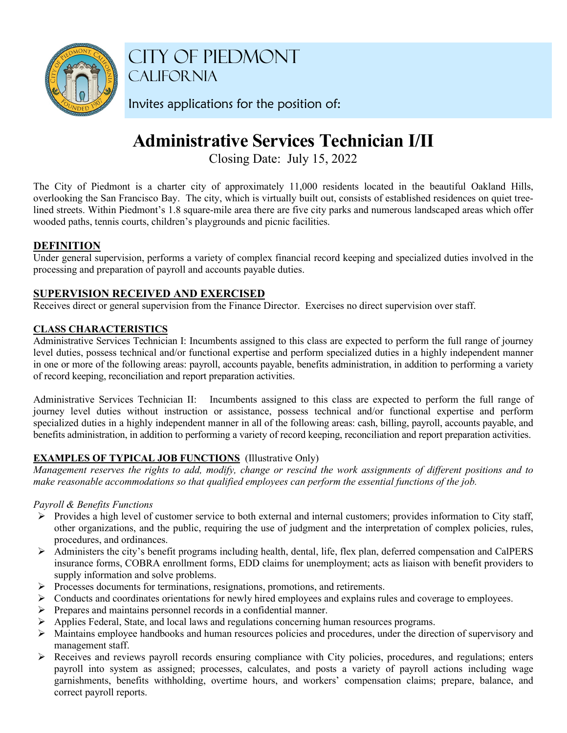

CITY OF PIEDMONT CALIFORNIA

Invites applications for the position of:

# **Administrative Services Technician I/II**

Closing Date: July 15, 2022

The City of Piedmont is a charter city of approximately 11,000 residents located in the beautiful Oakland Hills, overlooking the San Francisco Bay. The city, which is virtually built out, consists of established residences on quiet treelined streets. Within Piedmont's 1.8 square-mile area there are five city parks and numerous landscaped areas which offer wooded paths, tennis courts, children's playgrounds and picnic facilities.

# **DEFINITION**

Under general supervision, performs a variety of complex financial record keeping and specialized duties involved in the processing and preparation of payroll and accounts payable duties.

# **SUPERVISION RECEIVED AND EXERCISED**

Receives direct or general supervision from the Finance Director. Exercises no direct supervision over staff.

## **CLASS CHARACTERISTICS**

Administrative Services Technician I: Incumbents assigned to this class are expected to perform the full range of journey level duties, possess technical and/or functional expertise and perform specialized duties in a highly independent manner in one or more of the following areas: payroll, accounts payable, benefits administration, in addition to performing a variety of record keeping, reconciliation and report preparation activities.

Administrative Services Technician II: Incumbents assigned to this class are expected to perform the full range of journey level duties without instruction or assistance, possess technical and/or functional expertise and perform specialized duties in a highly independent manner in all of the following areas: cash, billing, payroll, accounts payable, and benefits administration, in addition to performing a variety of record keeping, reconciliation and report preparation activities.

## **EXAMPLES OF TYPICAL JOB FUNCTIONS** (Illustrative Only)

*Management reserves the rights to add, modify, change or rescind the work assignments of different positions and to make reasonable accommodations so that qualified employees can perform the essential functions of the job.*

## *Payroll & Benefits Functions*

- Provides a high level of customer service to both external and internal customers; provides information to City staff, other organizations, and the public, requiring the use of judgment and the interpretation of complex policies, rules, procedures, and ordinances.
- $\triangleright$  Administers the city's benefit programs including health, dental, life, flex plan, deferred compensation and CalPERS insurance forms, COBRA enrollment forms, EDD claims for unemployment; acts as liaison with benefit providers to supply information and solve problems.
- Processes documents for terminations, resignations, promotions, and retirements.
- $\triangleright$  Conducts and coordinates orientations for newly hired employees and explains rules and coverage to employees.
- $\triangleright$  Prepares and maintains personnel records in a confidential manner.
- Applies Federal, State, and local laws and regulations concerning human resources programs.
- Maintains employee handbooks and human resources policies and procedures, under the direction of supervisory and management staff.
- Receives and reviews payroll records ensuring compliance with City policies, procedures, and regulations; enters payroll into system as assigned; processes, calculates, and posts a variety of payroll actions including wage garnishments, benefits withholding, overtime hours, and workers' compensation claims; prepare, balance, and correct payroll reports.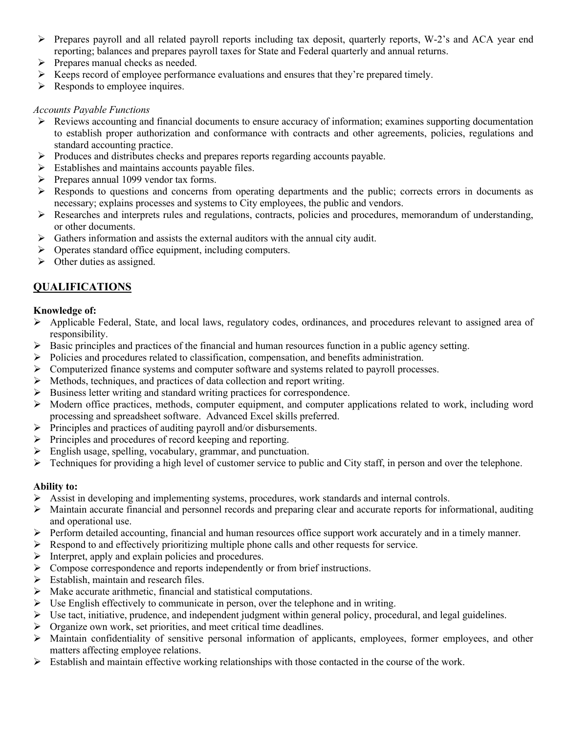- $\triangleright$  Prepares payroll and all related payroll reports including tax deposit, quarterly reports, W-2's and ACA year end reporting; balances and prepares payroll taxes for State and Federal quarterly and annual returns.
- $\triangleright$  Prepares manual checks as needed.
- Keeps record of employee performance evaluations and ensures that they're prepared timely.
- $\triangleright$  Responds to employee inquires.

### *Accounts Payable Functions*

- $\triangleright$  Reviews accounting and financial documents to ensure accuracy of information; examines supporting documentation to establish proper authorization and conformance with contracts and other agreements, policies, regulations and standard accounting practice.
- $\triangleright$  Produces and distributes checks and prepares reports regarding accounts payable.
- $\triangleright$  Establishes and maintains accounts payable files.
- $\triangleright$  Prepares annual 1099 vendor tax forms.
- $\triangleright$  Responds to questions and concerns from operating departments and the public; corrects errors in documents as necessary; explains processes and systems to City employees, the public and vendors.
- $\triangleright$  Researches and interprets rules and regulations, contracts, policies and procedures, memorandum of understanding, or other documents.
- $\triangleright$  Gathers information and assists the external auditors with the annual city audit.
- $\triangleright$  Operates standard office equipment, including computers.
- $\triangleright$  Other duties as assigned.

# **QUALIFICATIONS**

## **Knowledge of:**

- $\triangleright$  Applicable Federal, State, and local laws, regulatory codes, ordinances, and procedures relevant to assigned area of responsibility.
- Basic principles and practices of the financial and human resources function in a public agency setting.
- $\triangleright$  Policies and procedures related to classification, compensation, and benefits administration.
- $\triangleright$  Computerized finance systems and computer software and systems related to payroll processes.
- $\triangleright$  Methods, techniques, and practices of data collection and report writing.
- $\triangleright$  Business letter writing and standard writing practices for correspondence.
- $\triangleright$  Modern office practices, methods, computer equipment, and computer applications related to work, including word processing and spreadsheet software. Advanced Excel skills preferred.
- $\triangleright$  Principles and practices of auditing payroll and/or disbursements.
- $\triangleright$  Principles and procedures of record keeping and reporting.
- $\triangleright$  English usage, spelling, vocabulary, grammar, and punctuation.
- $\triangleright$  Techniques for providing a high level of customer service to public and City staff, in person and over the telephone.

## **Ability to:**

- $\triangleright$  Assist in developing and implementing systems, procedures, work standards and internal controls.
- $\triangleright$  Maintain accurate financial and personnel records and preparing clear and accurate reports for informational, auditing and operational use.
- Perform detailed accounting, financial and human resources office support work accurately and in a timely manner.
- $\triangleright$  Respond to and effectively prioritizing multiple phone calls and other requests for service.
- $\triangleright$  Interpret, apply and explain policies and procedures.
- Compose correspondence and reports independently or from brief instructions.
- $\triangleright$  Establish, maintain and research files.
- $\triangleright$  Make accurate arithmetic, financial and statistical computations.
- $\triangleright$  Use English effectively to communicate in person, over the telephone and in writing.
- $\triangleright$  Use tact, initiative, prudence, and independent judgment within general policy, procedural, and legal guidelines.
- Organize own work, set priorities, and meet critical time deadlines.
- Maintain confidentiality of sensitive personal information of applicants, employees, former employees, and other matters affecting employee relations.
- $\triangleright$  Establish and maintain effective working relationships with those contacted in the course of the work.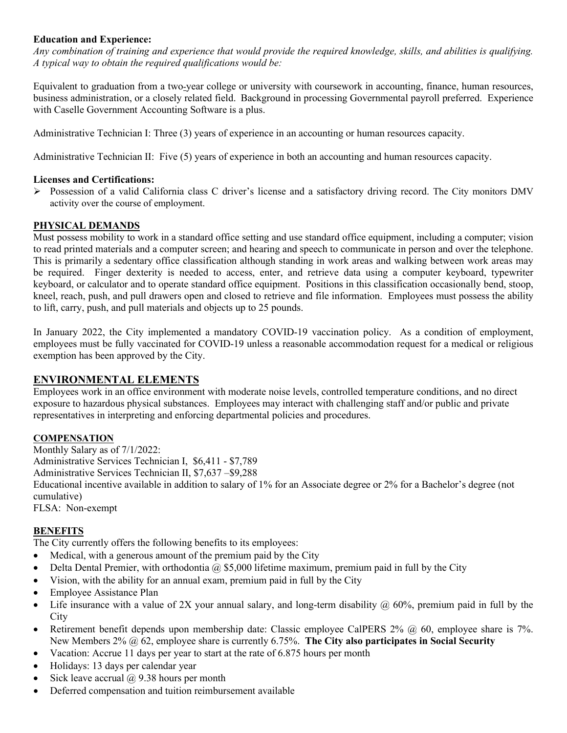#### **Education and Experience:**

*Any combination of training and experience that would provide the required knowledge, skills, and abilities is qualifying. A typical way to obtain the required qualifications would be:*

Equivalent to graduation from a two-year college or university with coursework in accounting, finance, human resources, business administration, or a closely related field. Background in processing Governmental payroll preferred. Experience with Caselle Government Accounting Software is a plus.

Administrative Technician I: Three (3) years of experience in an accounting or human resources capacity.

Administrative Technician II: Five (5) years of experience in both an accounting and human resources capacity.

#### **Licenses and Certifications:**

 $\triangleright$  Possession of a valid California class C driver's license and a satisfactory driving record. The City monitors DMV activity over the course of employment.

#### **PHYSICAL DEMANDS**

Must possess mobility to work in a standard office setting and use standard office equipment, including a computer; vision to read printed materials and a computer screen; and hearing and speech to communicate in person and over the telephone. This is primarily a sedentary office classification although standing in work areas and walking between work areas may be required. Finger dexterity is needed to access, enter, and retrieve data using a computer keyboard, typewriter keyboard, or calculator and to operate standard office equipment. Positions in this classification occasionally bend, stoop, kneel, reach, push, and pull drawers open and closed to retrieve and file information. Employees must possess the ability to lift, carry, push, and pull materials and objects up to 25 pounds.

In January 2022, the City implemented a mandatory COVID-19 vaccination policy. As a condition of employment, employees must be fully vaccinated for COVID-19 unless a reasonable accommodation request for a medical or religious exemption has been approved by the City.

#### **ENVIRONMENTAL ELEMENTS**

Employees work in an office environment with moderate noise levels, controlled temperature conditions, and no direct exposure to hazardous physical substances. Employees may interact with challenging staff and/or public and private representatives in interpreting and enforcing departmental policies and procedures.

#### **COMPENSATION**

Monthly Salary as of 7/1/2022: Administrative Services Technician I, \$6,411 - \$7,789 Administrative Services Technician II, \$7,637 –\$9,288 Educational incentive available in addition to salary of 1% for an Associate degree or 2% for a Bachelor's degree (not cumulative) FLSA: Non-exempt

#### **BENEFITS**

The City currently offers the following benefits to its employees:

- Medical, with a generous amount of the premium paid by the City
- Delta Dental Premier, with orthodontia  $@$  \$5,000 lifetime maximum, premium paid in full by the City
- Vision, with the ability for an annual exam, premium paid in full by the City
- Employee Assistance Plan
- Life insurance with a value of 2X your annual salary, and long-term disability  $\omega$  60%, premium paid in full by the **City**
- Retirement benefit depends upon membership date: Classic employee CalPERS  $2\%$   $\omega$  60, employee share is 7%. New Members 2% @ 62, employee share is currently 6.75%. **The City also participates in Social Security**
- Vacation: Accrue 11 days per year to start at the rate of 6.875 hours per month
- Holidays: 13 days per calendar year
- Sick leave accrual  $\omega$  9.38 hours per month
- Deferred compensation and tuition reimbursement available